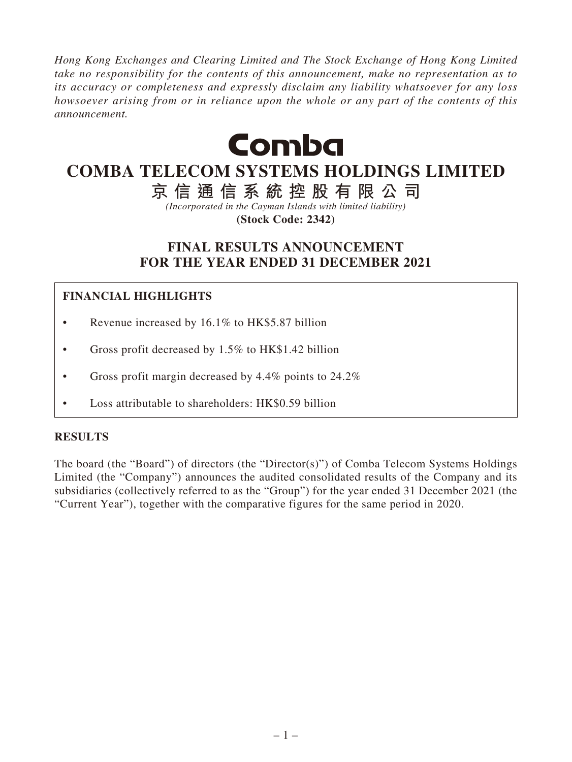*Hong Kong Exchanges and Clearing Limited and The Stock Exchange of Hong Kong Limited take no responsibility for the contents of this announcement, make no representation as to its accuracy or completeness and expressly disclaim any liability whatsoever for any loss howsoever arising from or in reliance upon the whole or any part of the contents of this announcement.*



# **COMBA TELECOM SYSTEMS HOLDINGS LIMITED**

**京信通信系統控股有限公司**

*(Incorporated in the Cayman Islands with limited liability)*

**(Stock Code: 2342)**

# **FINAL RESULTS ANNOUNCEMENT FOR THE YEAR ENDED 31 DECEMBER 2021**

# **FINANCIAL HIGHLIGHTS**

- Revenue increased by 16.1% to HK\$5.87 billion
- Gross profit decreased by 1.5% to HK\$1.42 billion
- Gross profit margin decreased by 4.4% points to 24.2%
- Loss attributable to shareholders: HK\$0.59 billion

### **RESULTS**

The board (the "Board") of directors (the "Director(s)") of Comba Telecom Systems Holdings Limited (the "Company") announces the audited consolidated results of the Company and its subsidiaries (collectively referred to as the "Group") for the year ended 31 December 2021 (the "Current Year"), together with the comparative figures for the same period in 2020.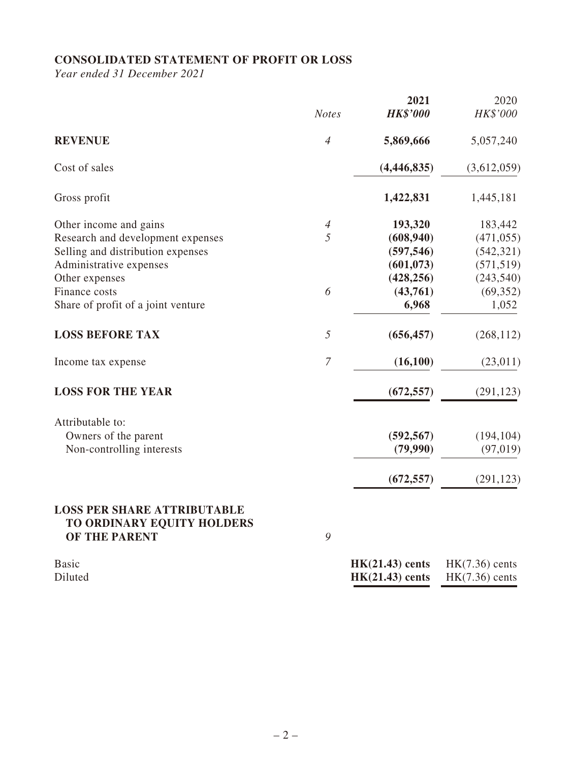# **CONSOLIDATED STATEMENT OF PROFIT OR LOSS**

*Year ended 31 December 2021*

|                                             | <b>Notes</b>             | 2021<br><b>HK\$'000</b> | 2020<br>HK\$'000 |
|---------------------------------------------|--------------------------|-------------------------|------------------|
|                                             |                          |                         |                  |
| <b>REVENUE</b>                              | $\overline{4}$           | 5,869,666               | 5,057,240        |
| Cost of sales                               |                          | (4, 446, 835)           | (3,612,059)      |
| Gross profit                                |                          | 1,422,831               | 1,445,181        |
| Other income and gains                      | $\overline{\mathcal{A}}$ | 193,320                 | 183,442          |
| Research and development expenses           | 5                        | (608, 940)              | (471, 055)       |
| Selling and distribution expenses           |                          | (597, 546)              | (542, 321)       |
| Administrative expenses                     |                          | (601, 073)              | (571, 519)       |
| Other expenses                              |                          | (428, 256)              | (243, 540)       |
| Finance costs                               | 6                        | (43,761)                | (69, 352)        |
| Share of profit of a joint venture          |                          | 6,968                   | 1,052            |
| <b>LOSS BEFORE TAX</b>                      | 5                        | (656, 457)              | (268, 112)       |
| Income tax expense                          | $\overline{7}$           | (16,100)                | (23,011)         |
| <b>LOSS FOR THE YEAR</b>                    |                          | (672, 557)              | (291, 123)       |
| Attributable to:                            |                          |                         |                  |
| Owners of the parent                        |                          | (592, 567)              | (194, 104)       |
| Non-controlling interests                   |                          | (79,990)                | (97, 019)        |
|                                             |                          | (672, 557)              | (291, 123)       |
| <b>LOSS PER SHARE ATTRIBUTABLE</b>          |                          |                         |                  |
| TO ORDINARY EQUITY HOLDERS<br>OF THE PARENT | 9                        |                         |                  |

| <b>Basic</b> | $HK(21.43)$ cents                  | $HK(7.36)$ cents |
|--------------|------------------------------------|------------------|
| Diluted      | $HK(21.43)$ cents $HK(7.36)$ cents |                  |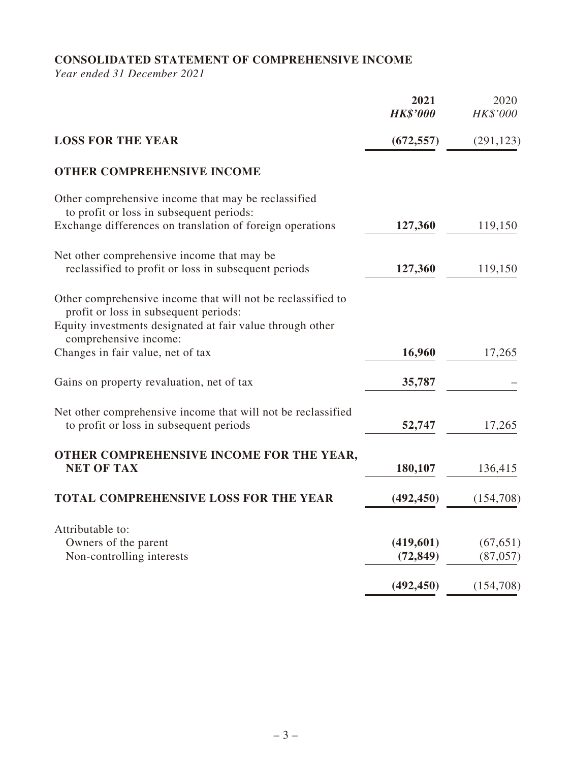# **CONSOLIDATED STATEMENT OF COMPREHENSIVE INCOME**

*Year ended 31 December 2021*

|                                                                                                                                                                   | 2021<br><b>HK\$'000</b> | 2020<br>HK\$'000 |
|-------------------------------------------------------------------------------------------------------------------------------------------------------------------|-------------------------|------------------|
| <b>LOSS FOR THE YEAR</b>                                                                                                                                          | (672, 557)              | (291, 123)       |
| <b>OTHER COMPREHENSIVE INCOME</b>                                                                                                                                 |                         |                  |
| Other comprehensive income that may be reclassified<br>to profit or loss in subsequent periods:                                                                   |                         |                  |
| Exchange differences on translation of foreign operations                                                                                                         | 127,360                 | 119,150          |
| Net other comprehensive income that may be                                                                                                                        |                         |                  |
| reclassified to profit or loss in subsequent periods                                                                                                              | 127,360                 | 119,150          |
| Other comprehensive income that will not be reclassified to<br>profit or loss in subsequent periods:<br>Equity investments designated at fair value through other |                         |                  |
| comprehensive income:                                                                                                                                             |                         |                  |
| Changes in fair value, net of tax                                                                                                                                 | 16,960                  | 17,265           |
| Gains on property revaluation, net of tax                                                                                                                         | 35,787                  |                  |
| Net other comprehensive income that will not be reclassified<br>to profit or loss in subsequent periods                                                           | 52,747                  | 17,265           |
| OTHER COMPREHENSIVE INCOME FOR THE YEAR,<br><b>NET OF TAX</b>                                                                                                     | 180,107                 | 136,415          |
| <b>TOTAL COMPREHENSIVE LOSS FOR THE YEAR</b>                                                                                                                      | (492, 450)              | (154,708)        |
| Attributable to:                                                                                                                                                  |                         |                  |
| Owners of the parent                                                                                                                                              | (419,601)               | (67, 651)        |
| Non-controlling interests                                                                                                                                         | (72, 849)               | (87, 057)        |
|                                                                                                                                                                   | (492, 450)              | (154,708)        |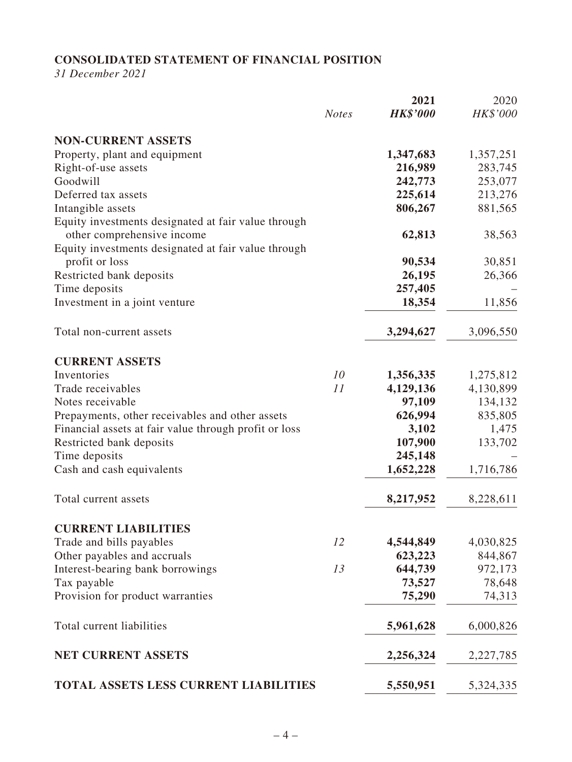# **CONSOLIDATED STATEMENT OF FINANCIAL POSITION**

*31 December 2021*

|                                                       |              | 2021            | 2020      |
|-------------------------------------------------------|--------------|-----------------|-----------|
|                                                       | <b>Notes</b> | <b>HK\$'000</b> | HK\$'000  |
| <b>NON-CURRENT ASSETS</b>                             |              |                 |           |
| Property, plant and equipment                         |              | 1,347,683       | 1,357,251 |
| Right-of-use assets                                   |              | 216,989         | 283,745   |
| Goodwill                                              |              | 242,773         | 253,077   |
| Deferred tax assets                                   |              | 225,614         | 213,276   |
| Intangible assets                                     |              | 806,267         | 881,565   |
| Equity investments designated at fair value through   |              |                 |           |
| other comprehensive income                            |              | 62,813          | 38,563    |
| Equity investments designated at fair value through   |              |                 |           |
| profit or loss                                        |              | 90,534          | 30,851    |
| Restricted bank deposits                              |              | 26,195          | 26,366    |
| Time deposits                                         |              | 257,405         |           |
| Investment in a joint venture                         |              | 18,354          | 11,856    |
|                                                       |              |                 |           |
| Total non-current assets                              |              | 3,294,627       | 3,096,550 |
| <b>CURRENT ASSETS</b>                                 |              |                 |           |
| Inventories                                           | 10           | 1,356,335       | 1,275,812 |
| Trade receivables                                     | 11           | 4,129,136       | 4,130,899 |
| Notes receivable                                      |              | 97,109          | 134,132   |
| Prepayments, other receivables and other assets       |              | 626,994         | 835,805   |
| Financial assets at fair value through profit or loss |              | 3,102           | 1,475     |
| Restricted bank deposits                              |              | 107,900         | 133,702   |
| Time deposits                                         |              | 245,148         |           |
| Cash and cash equivalents                             |              | 1,652,228       | 1,716,786 |
| Total current assets                                  |              | 8,217,952       | 8,228,611 |
|                                                       |              |                 |           |
| <b>CURRENT LIABILITIES</b>                            |              |                 |           |
| Trade and bills payables                              | 12           | 4,544,849       | 4,030,825 |
| Other payables and accruals                           |              | 623,223         | 844,867   |
| Interest-bearing bank borrowings                      | 13           | 644,739         | 972,173   |
| Tax payable                                           |              | 73,527          | 78,648    |
| Provision for product warranties                      |              | 75,290          | 74,313    |
| Total current liabilities                             |              | 5,961,628       | 6,000,826 |
| <b>NET CURRENT ASSETS</b>                             |              | 2,256,324       | 2,227,785 |
| <b>TOTAL ASSETS LESS CURRENT LIABILITIES</b>          |              | 5,550,951       | 5,324,335 |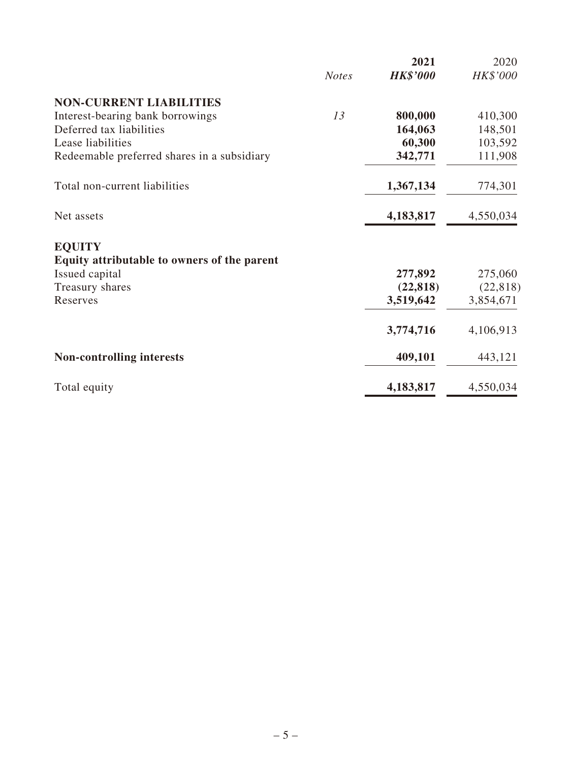|                                             |              | 2021            | 2020      |
|---------------------------------------------|--------------|-----------------|-----------|
|                                             | <b>Notes</b> | <b>HK\$'000</b> | HK\$'000  |
| <b>NON-CURRENT LIABILITIES</b>              |              |                 |           |
| Interest-bearing bank borrowings            | 13           | 800,000         | 410,300   |
| Deferred tax liabilities                    |              | 164,063         | 148,501   |
| Lease liabilities                           |              | 60,300          | 103,592   |
| Redeemable preferred shares in a subsidiary |              | 342,771         | 111,908   |
| Total non-current liabilities               |              | 1,367,134       | 774,301   |
| Net assets                                  |              | 4,183,817       | 4,550,034 |
| <b>EQUITY</b>                               |              |                 |           |
| Equity attributable to owners of the parent |              |                 |           |
| Issued capital                              |              | 277,892         | 275,060   |
| Treasury shares                             |              | (22, 818)       | (22, 818) |
| Reserves                                    |              | 3,519,642       | 3,854,671 |
|                                             |              | 3,774,716       | 4,106,913 |
| <b>Non-controlling interests</b>            |              | 409,101         | 443,121   |
| Total equity                                |              | 4,183,817       | 4,550,034 |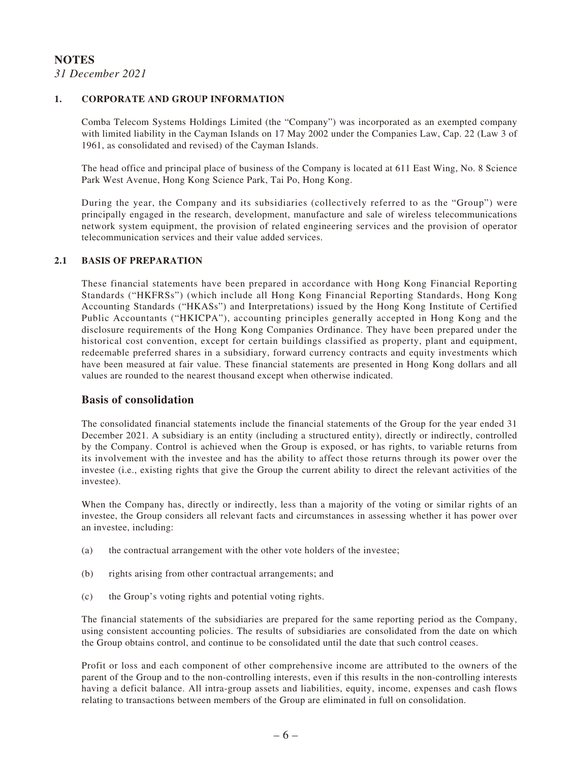#### **NOTES** *31 December 2021*

#### **1. CORPORATE AND GROUP INFORMATION**

Comba Telecom Systems Holdings Limited (the "Company") was incorporated as an exempted company with limited liability in the Cayman Islands on 17 May 2002 under the Companies Law, Cap. 22 (Law 3 of 1961, as consolidated and revised) of the Cayman Islands.

The head office and principal place of business of the Company is located at 611 East Wing, No. 8 Science Park West Avenue, Hong Kong Science Park, Tai Po, Hong Kong.

During the year, the Company and its subsidiaries (collectively referred to as the "Group") were principally engaged in the research, development, manufacture and sale of wireless telecommunications network system equipment, the provision of related engineering services and the provision of operator telecommunication services and their value added services.

#### **2.1 BASIS OF PREPARATION**

These financial statements have been prepared in accordance with Hong Kong Financial Reporting Standards ("HKFRSs") (which include all Hong Kong Financial Reporting Standards, Hong Kong Accounting Standards ("HKASs") and Interpretations) issued by the Hong Kong Institute of Certified Public Accountants ("HKICPA"), accounting principles generally accepted in Hong Kong and the disclosure requirements of the Hong Kong Companies Ordinance. They have been prepared under the historical cost convention, except for certain buildings classified as property, plant and equipment, redeemable preferred shares in a subsidiary, forward currency contracts and equity investments which have been measured at fair value. These financial statements are presented in Hong Kong dollars and all values are rounded to the nearest thousand except when otherwise indicated.

#### **Basis of consolidation**

The consolidated financial statements include the financial statements of the Group for the year ended 31 December 2021. A subsidiary is an entity (including a structured entity), directly or indirectly, controlled by the Company. Control is achieved when the Group is exposed, or has rights, to variable returns from its involvement with the investee and has the ability to affect those returns through its power over the investee (i.e., existing rights that give the Group the current ability to direct the relevant activities of the investee).

When the Company has, directly or indirectly, less than a majority of the voting or similar rights of an investee, the Group considers all relevant facts and circumstances in assessing whether it has power over an investee, including:

- (a) the contractual arrangement with the other vote holders of the investee;
- (b) rights arising from other contractual arrangements; and
- (c) the Group's voting rights and potential voting rights.

The financial statements of the subsidiaries are prepared for the same reporting period as the Company, using consistent accounting policies. The results of subsidiaries are consolidated from the date on which the Group obtains control, and continue to be consolidated until the date that such control ceases.

Profit or loss and each component of other comprehensive income are attributed to the owners of the parent of the Group and to the non-controlling interests, even if this results in the non-controlling interests having a deficit balance. All intra-group assets and liabilities, equity, income, expenses and cash flows relating to transactions between members of the Group are eliminated in full on consolidation.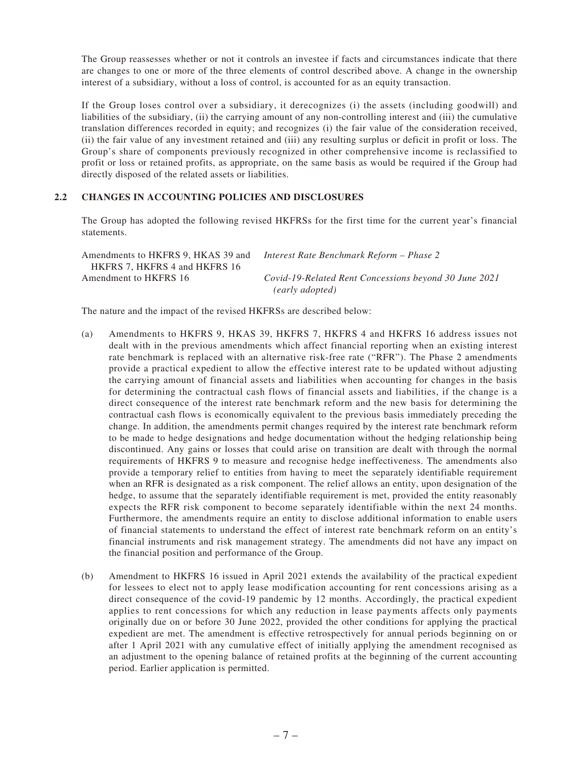The Group reassesses whether or not it controls an investee if facts and circumstances indicate that there are changes to one or more of the three elements of control described above. A change in the ownership interest of a subsidiary, without a loss of control, is accounted for as an equity transaction.

If the Group loses control over a subsidiary, it derecognizes (i) the assets (including goodwill) and liabilities of the subsidiary, (ii) the carrying amount of any non-controlling interest and (iii) the cumulative translation differences recorded in equity; and recognizes (i) the fair value of the consideration received, (ii) the fair value of any investment retained and (iii) any resulting surplus or deficit in profit or loss. The Group's share of components previously recognized in other comprehensive income is reclassified to profit or loss or retained profits, as appropriate, on the same basis as would be required if the Group had directly disposed of the related assets or liabilities.

#### **2.2 CHANGES IN ACCOUNTING POLICIES AND DISCLOSURES**

The Group has adopted the following revised HKFRSs for the first time for the current year's financial statements.

| Amendments to HKFRS 9, HKAS 39 and | - Interest Rate Benchmark Reform – Phase 2            |
|------------------------------------|-------------------------------------------------------|
| HKFRS 7. HKFRS 4 and HKFRS 16      |                                                       |
| Amendment to HKFRS 16              | Covid-19-Related Rent Concessions beyond 30 June 2021 |
|                                    | (early adopted)                                       |

The nature and the impact of the revised HKFRSs are described below:

- (a) Amendments to HKFRS 9, HKAS 39, HKFRS 7, HKFRS 4 and HKFRS 16 address issues not dealt with in the previous amendments which affect financial reporting when an existing interest rate benchmark is replaced with an alternative risk-free rate ("RFR"). The Phase 2 amendments provide a practical expedient to allow the effective interest rate to be updated without adjusting the carrying amount of financial assets and liabilities when accounting for changes in the basis for determining the contractual cash flows of financial assets and liabilities, if the change is a direct consequence of the interest rate benchmark reform and the new basis for determining the contractual cash flows is economically equivalent to the previous basis immediately preceding the change. In addition, the amendments permit changes required by the interest rate benchmark reform to be made to hedge designations and hedge documentation without the hedging relationship being discontinued. Any gains or losses that could arise on transition are dealt with through the normal requirements of HKFRS 9 to measure and recognise hedge ineffectiveness. The amendments also provide a temporary relief to entities from having to meet the separately identifiable requirement when an RFR is designated as a risk component. The relief allows an entity, upon designation of the hedge, to assume that the separately identifiable requirement is met, provided the entity reasonably expects the RFR risk component to become separately identifiable within the next 24 months. Furthermore, the amendments require an entity to disclose additional information to enable users of financial statements to understand the effect of interest rate benchmark reform on an entity's financial instruments and risk management strategy. The amendments did not have any impact on the financial position and performance of the Group.
- (b) Amendment to HKFRS 16 issued in April 2021 extends the availability of the practical expedient for lessees to elect not to apply lease modification accounting for rent concessions arising as a direct consequence of the covid-19 pandemic by 12 months. Accordingly, the practical expedient applies to rent concessions for which any reduction in lease payments affects only payments originally due on or before 30 June 2022, provided the other conditions for applying the practical expedient are met. The amendment is effective retrospectively for annual periods beginning on or after 1 April 2021 with any cumulative effect of initially applying the amendment recognised as an adjustment to the opening balance of retained profits at the beginning of the current accounting period. Earlier application is permitted.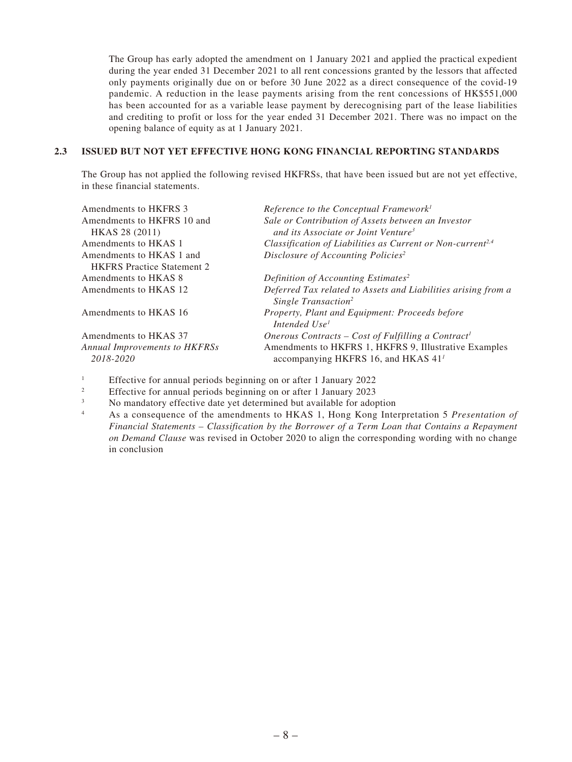The Group has early adopted the amendment on 1 January 2021 and applied the practical expedient during the year ended 31 December 2021 to all rent concessions granted by the lessors that affected only payments originally due on or before 30 June 2022 as a direct consequence of the covid-19 pandemic. A reduction in the lease payments arising from the rent concessions of HK\$551,000 has been accounted for as a variable lease payment by derecognising part of the lease liabilities and crediting to profit or loss for the year ended 31 December 2021. There was no impact on the opening balance of equity as at 1 January 2021.

#### **2.3 ISSUED BUT NOT YET EFFECTIVE HONG KONG FINANCIAL REPORTING STANDARDS**

The Group has not applied the following revised HKFRSs, that have been issued but are not yet effective, in these financial statements.

| Amendments to HKFRS 3                             | Reference to the Conceptual Framework <sup>1</sup>                                                       |
|---------------------------------------------------|----------------------------------------------------------------------------------------------------------|
| Amendments to HKFRS 10 and                        | Sale or Contribution of Assets between an Investor                                                       |
| HKAS 28 (2011)                                    | and its Associate or Joint Venture <sup>3</sup>                                                          |
| Amendments to HKAS 1                              | Classification of Liabilities as Current or Non-current <sup>2,4</sup>                                   |
| Amendments to HKAS 1 and                          | Disclosure of Accounting Policies <sup>2</sup>                                                           |
| <b>HKFRS</b> Practice Statement 2                 |                                                                                                          |
| Amendments to HKAS 8                              | Definition of Accounting Estimates <sup>2</sup>                                                          |
| Amendments to HKAS 12                             | Deferred Tax related to Assets and Liabilities arising from a<br>Single Transaction <sup>2</sup>         |
| Amendments to HKAS 16                             | Property, Plant and Equipment: Proceeds before<br>Intended Use <sup>1</sup>                              |
| Amendments to HKAS 37                             | Onerous Contracts – Cost of Fulfilling a Contract <sup>1</sup>                                           |
| <b>Annual Improvements to HKFRSs</b><br>2018-2020 | Amendments to HKFRS 1, HKFRS 9, Illustrative Examples<br>accompanying HKFRS 16, and HKAS 41 <sup>1</sup> |
|                                                   |                                                                                                          |

- 1 Effective for annual periods beginning on or after 1 January 2022
- 2 Effective for annual periods beginning on or after 1 January 2023
- 3 No mandatory effective date yet determined but available for adoption
- 4 As a consequence of the amendments to HKAS 1, Hong Kong Interpretation 5 *Presentation of Financial Statements – Classification by the Borrower of a Term Loan that Contains a Repayment on Demand Clause* was revised in October 2020 to align the corresponding wording with no change in conclusion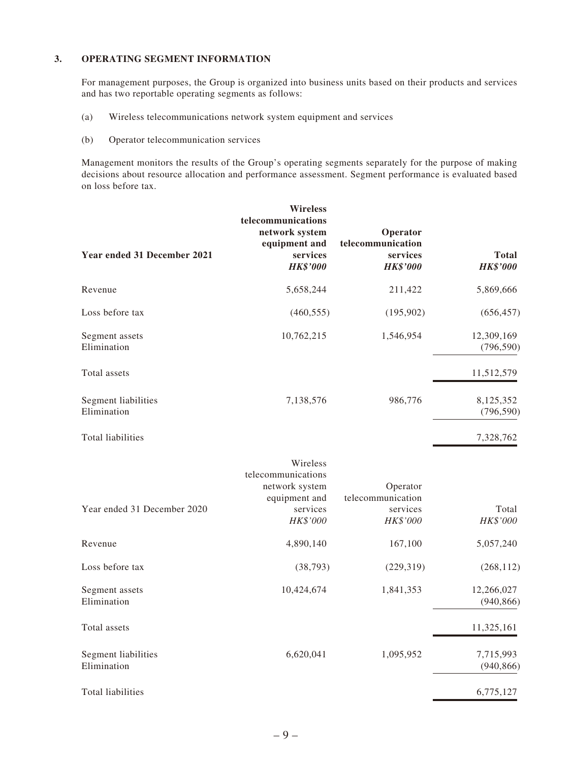#### **3. OPERATING SEGMENT INFORMATION**

For management purposes, the Group is organized into business units based on their products and services and has two reportable operating segments as follows:

- (a) Wireless telecommunications network system equipment and services
- (b) Operator telecommunication services

Management monitors the results of the Group's operating segments separately for the purpose of making decisions about resource allocation and performance assessment. Segment performance is evaluated based on loss before tax.

| Year ended 31 December 2021        | <b>Wireless</b><br>telecommunications<br>network system<br>equipment and<br>services<br><b>HK\$'000</b> | Operator<br>telecommunication<br>services<br><b>HK\$'000</b> | <b>Total</b><br><b>HK\$'000</b> |
|------------------------------------|---------------------------------------------------------------------------------------------------------|--------------------------------------------------------------|---------------------------------|
| Revenue                            | 5,658,244                                                                                               | 211,422                                                      | 5,869,666                       |
| Loss before tax                    | (460, 555)                                                                                              | (195,902)                                                    | (656, 457)                      |
| Segment assets<br>Elimination      | 10,762,215                                                                                              | 1,546,954                                                    | 12,309,169<br>(796, 590)        |
| Total assets                       |                                                                                                         |                                                              | 11,512,579                      |
| Segment liabilities<br>Elimination | 7,138,576                                                                                               | 986,776                                                      | 8,125,352<br>(796, 590)         |
| <b>Total liabilities</b>           |                                                                                                         |                                                              | 7,328,762                       |
| Year ended 31 December 2020        | Wireless<br>telecommunications<br>network system<br>equipment and<br>services<br>HK\$'000               | Operator<br>telecommunication<br>services<br>HK\$'000        | Total<br>HK\$'000               |
| Revenue                            | 4,890,140                                                                                               | 167,100                                                      | 5,057,240                       |
| Loss before tax                    | (38, 793)                                                                                               | (229, 319)                                                   | (268, 112)                      |
| Segment assets<br>Elimination      | 10,424,674                                                                                              | 1,841,353                                                    | 12,266,027<br>(940, 866)        |
| Total assets                       |                                                                                                         |                                                              | 11,325,161                      |
| Segment liabilities<br>Elimination | 6,620,041                                                                                               | 1,095,952                                                    | 7,715,993<br>(940, 866)         |
| Total liabilities                  |                                                                                                         |                                                              | 6,775,127                       |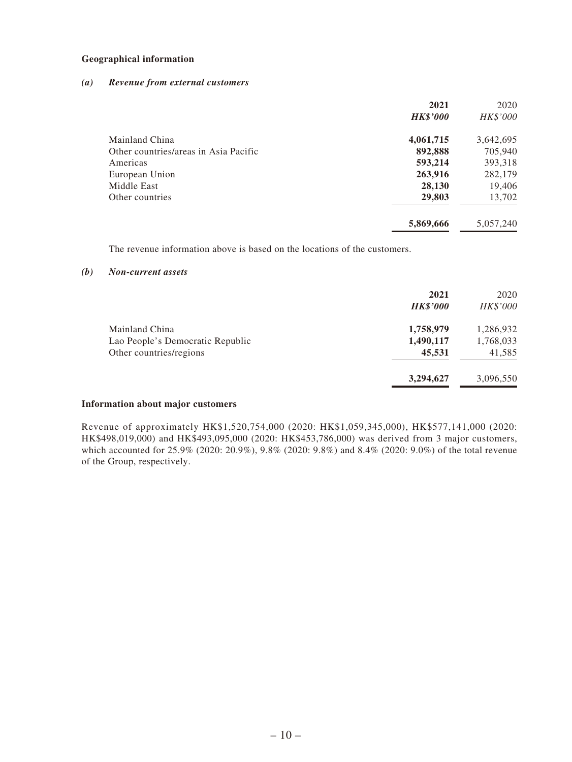#### **Geographical information**

#### *(a) Revenue from external customers*

|                                       | 2021            | 2020      |
|---------------------------------------|-----------------|-----------|
|                                       | <b>HK\$'000</b> | HK\$'000  |
| Mainland China                        | 4,061,715       | 3,642,695 |
| Other countries/areas in Asia Pacific | 892,888         | 705,940   |
| Americas                              | 593,214         | 393,318   |
| European Union                        | 263,916         | 282,179   |
| Middle East                           | 28,130          | 19,406    |
| Other countries                       | 29,803          | 13,702    |
|                                       | 5,869,666       | 5,057,240 |

The revenue information above is based on the locations of the customers.

#### *(b) Non-current assets*

|                                  | 2021<br><b>HK\$'000</b> | 2020<br>HK\$'000 |
|----------------------------------|-------------------------|------------------|
| Mainland China                   | 1,758,979               | 1,286,932        |
| Lao People's Democratic Republic | 1,490,117               | 1,768,033        |
| Other countries/regions          | 45,531                  | 41,585           |
|                                  | 3,294,627               | 3,096,550        |

#### **Information about major customers**

Revenue of approximately HK\$1,520,754,000 (2020: HK\$1,059,345,000), HK\$577,141,000 (2020: HK\$498,019,000) and HK\$493,095,000 (2020: HK\$453,786,000) was derived from 3 major customers, which accounted for 25.9% (2020: 20.9%), 9.8% (2020: 9.8%) and 8.4% (2020: 9.0%) of the total revenue of the Group, respectively.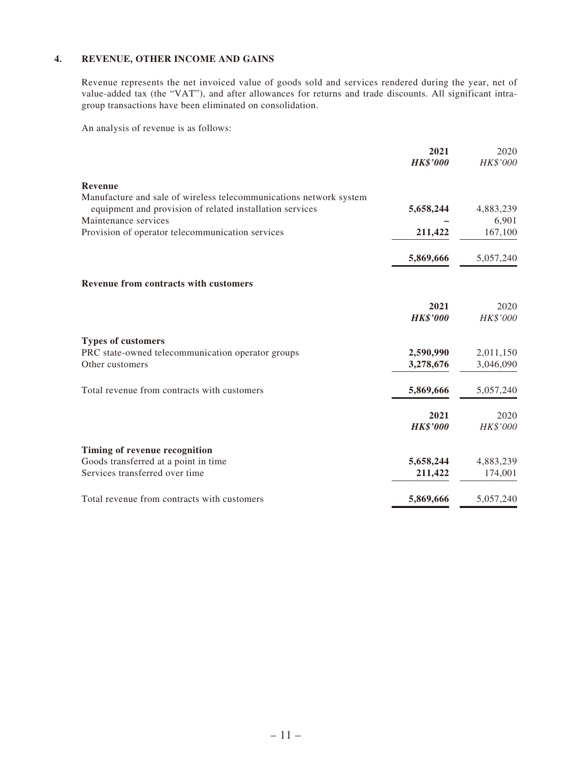#### **4. REVENUE, OTHER INCOME AND GAINS**

Revenue represents the net invoiced value of goods sold and services rendered during the year, net of value-added tax (the "VAT"), and after allowances for returns and trade discounts. All significant intragroup transactions have been eliminated on consolidation.

An analysis of revenue is as follows:

|                                                                    | 2021            | 2020      |
|--------------------------------------------------------------------|-----------------|-----------|
|                                                                    | <b>HK\$'000</b> | HK\$'000  |
| <b>Revenue</b>                                                     |                 |           |
| Manufacture and sale of wireless telecommunications network system |                 |           |
| equipment and provision of related installation services           | 5,658,244       | 4,883,239 |
| Maintenance services                                               |                 | 6,901     |
| Provision of operator telecommunication services                   | 211,422         | 167,100   |
|                                                                    | 5,869,666       | 5,057,240 |
| Revenue from contracts with customers                              |                 |           |
|                                                                    | 2021            | 2020      |
|                                                                    | <b>HK\$'000</b> | HK\$'000  |
| <b>Types of customers</b>                                          |                 |           |
| PRC state-owned telecommunication operator groups                  | 2,590,990       | 2,011,150 |
| Other customers                                                    | 3,278,676       | 3,046,090 |
| Total revenue from contracts with customers                        | 5,869,666       | 5,057,240 |
|                                                                    | 2021            | 2020      |
|                                                                    | <b>HK\$'000</b> | HK\$'000  |
| Timing of revenue recognition                                      |                 |           |
| Goods transferred at a point in time                               | 5,658,244       | 4,883,239 |
| Services transferred over time                                     | 211,422         | 174,001   |
| Total revenue from contracts with customers                        | 5,869,666       | 5,057,240 |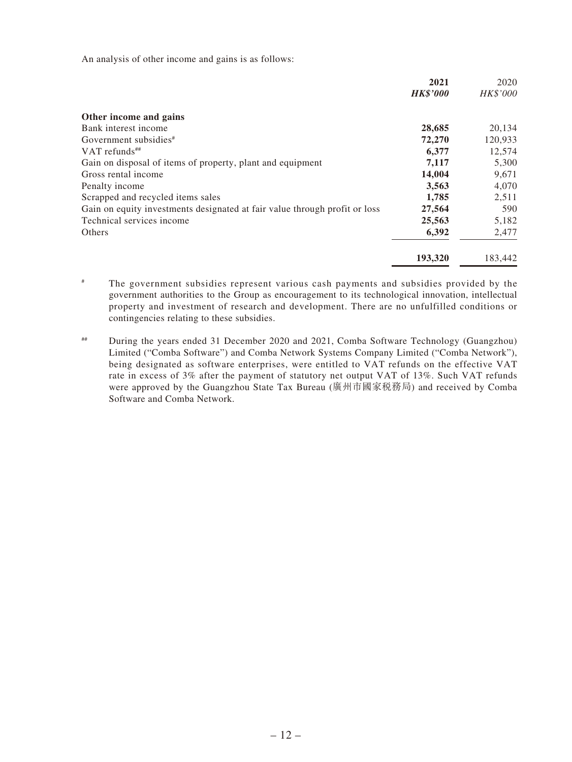An analysis of other income and gains is as follows:

|                                                                            | 2021            | 2020     |
|----------------------------------------------------------------------------|-----------------|----------|
|                                                                            | <b>HK\$'000</b> | HK\$'000 |
| Other income and gains                                                     |                 |          |
| Bank interest income                                                       | 28,685          | 20,134   |
| Government subsidies <sup>#</sup>                                          | 72,270          | 120,933  |
| VAT refunds $^{**}$                                                        | 6,377           | 12,574   |
| Gain on disposal of items of property, plant and equipment                 | 7,117           | 5,300    |
| Gross rental income                                                        | 14,004          | 9,671    |
| Penalty income                                                             | 3,563           | 4,070    |
| Scrapped and recycled items sales                                          | 1,785           | 2,511    |
| Gain on equity investments designated at fair value through profit or loss | 27,564          | 590      |
| Technical services income                                                  | 25,563          | 5,182    |
| Others                                                                     | 6,392           | 2,477    |
|                                                                            | 193,320         | 183,442  |

# The government subsidies represent various cash payments and subsidies provided by the government authorities to the Group as encouragement to its technological innovation, intellectual property and investment of research and development. There are no unfulfilled conditions or contingencies relating to these subsidies.

## During the years ended 31 December 2020 and 2021, Comba Software Technology (Guangzhou) Limited ("Comba Software") and Comba Network Systems Company Limited ("Comba Network"), being designated as software enterprises, were entitled to VAT refunds on the effective VAT rate in excess of 3% after the payment of statutory net output VAT of 13%. Such VAT refunds were approved by the Guangzhou State Tax Bureau (廣州市國家稅務局) and received by Comba Software and Comba Network.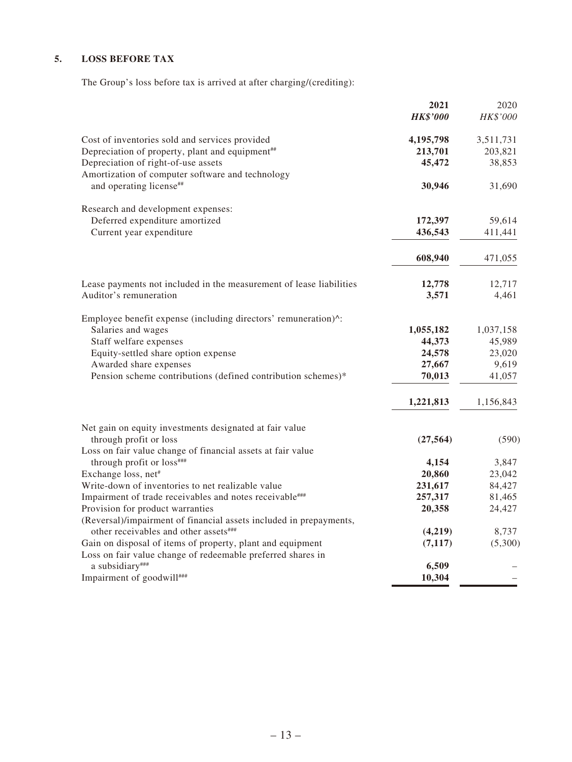#### **5. LOSS BEFORE TAX**

The Group's loss before tax is arrived at after charging/(crediting):

|                                                                             | 2021            | 2020      |
|-----------------------------------------------------------------------------|-----------------|-----------|
|                                                                             | <b>HK\$'000</b> | HK\$'000  |
| Cost of inventories sold and services provided                              | 4,195,798       | 3,511,731 |
| Depreciation of property, plant and equipment <sup>##</sup>                 | 213,701         | 203,821   |
| Depreciation of right-of-use assets                                         | 45,472          | 38,853    |
| Amortization of computer software and technology<br>and operating license## | 30,946          | 31,690    |
| Research and development expenses:                                          |                 |           |
| Deferred expenditure amortized                                              | 172,397         | 59,614    |
| Current year expenditure                                                    | 436,543         | 411,441   |
|                                                                             | 608,940         | 471,055   |
| Lease payments not included in the measurement of lease liabilities         | 12,778          | 12,717    |
| Auditor's remuneration                                                      | 3,571           | 4,461     |
| Employee benefit expense (including directors' remuneration)^:              |                 |           |
| Salaries and wages                                                          | 1,055,182       | 1,037,158 |
| Staff welfare expenses                                                      | 44,373          | 45,989    |
| Equity-settled share option expense                                         | 24,578          | 23,020    |
| Awarded share expenses                                                      | 27,667          | 9,619     |
| Pension scheme contributions (defined contribution schemes)*                | 70,013          | 41,057    |
|                                                                             | 1,221,813       | 1,156,843 |
| Net gain on equity investments designated at fair value                     |                 |           |
| through profit or loss                                                      | (27, 564)       | (590)     |
| Loss on fair value change of financial assets at fair value                 |                 |           |
| through profit or loss###                                                   | 4,154           | 3,847     |
| Exchange loss, net#                                                         | 20,860          | 23,042    |
| Write-down of inventories to net realizable value                           | 231,617         | 84,427    |
| Impairment of trade receivables and notes receivable###                     | 257,317         | 81,465    |
| Provision for product warranties                                            | 20,358          | 24,427    |
| (Reversal)/impairment of financial assets included in prepayments,          |                 |           |
| other receivables and other assets###                                       | (4,219)         | 8,737     |
| Gain on disposal of items of property, plant and equipment                  | (7, 117)        | (5,300)   |
| Loss on fair value change of redeemable preferred shares in                 |                 |           |
| a subsidiary###                                                             | 6,509           |           |
| Impairment of goodwill****                                                  | 10,304          |           |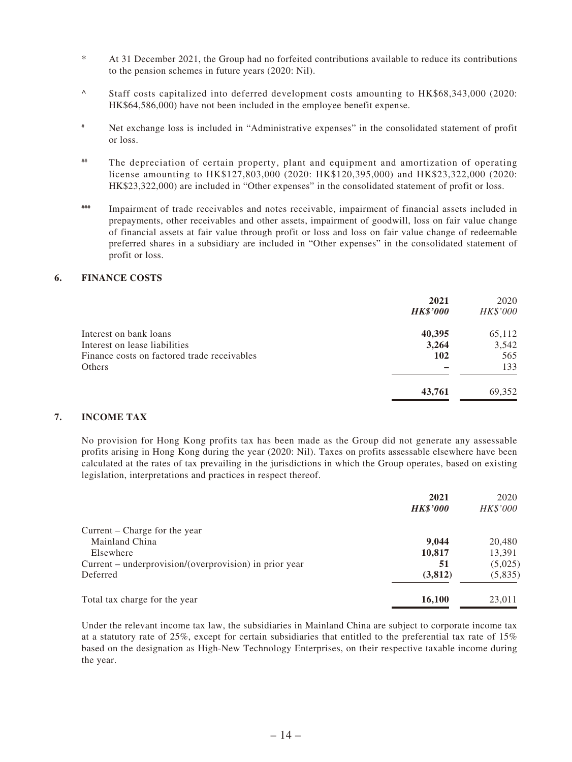- \* At 31 December 2021, the Group had no forfeited contributions available to reduce its contributions to the pension schemes in future years (2020: Nil).
- ^ Staff costs capitalized into deferred development costs amounting to HK\$68,343,000 (2020: HK\$64,586,000) have not been included in the employee benefit expense.
- # Net exchange loss is included in "Administrative expenses" in the consolidated statement of profit or loss.
- ## The depreciation of certain property, plant and equipment and amortization of operating license amounting to HK\$127,803,000 (2020: HK\$120,395,000) and HK\$23,322,000 (2020: HK\$23,322,000) are included in "Other expenses" in the consolidated statement of profit or loss.
- ### Impairment of trade receivables and notes receivable, impairment of financial assets included in prepayments, other receivables and other assets, impairment of goodwill, loss on fair value change of financial assets at fair value through profit or loss and loss on fair value change of redeemable preferred shares in a subsidiary are included in "Other expenses" in the consolidated statement of profit or loss.

#### **6. FINANCE COSTS**

|                                             | 2021<br><b>HK\$'000</b> | 2020<br>HK\$'000 |
|---------------------------------------------|-------------------------|------------------|
| Interest on bank loans                      | 40,395                  | 65,112           |
| Interest on lease liabilities               | 3,264                   | 3,542            |
| Finance costs on factored trade receivables | 102                     | 565              |
| Others                                      |                         | 133              |
|                                             | 43,761                  | 69,352           |

#### **7. INCOME TAX**

No provision for Hong Kong profits tax has been made as the Group did not generate any assessable profits arising in Hong Kong during the year (2020: Nil). Taxes on profits assessable elsewhere have been calculated at the rates of tax prevailing in the jurisdictions in which the Group operates, based on existing legislation, interpretations and practices in respect thereof.

|                                                        | 2021<br><b>HK\$'000</b> | 2020<br>HK\$'000 |
|--------------------------------------------------------|-------------------------|------------------|
| Current – Charge for the year                          |                         |                  |
| Mainland China                                         | 9.044                   | 20,480           |
| Elsewhere                                              | 10,817                  | 13,391           |
| Current – underprovision/(overprovision) in prior year | 51                      | (5,025)          |
| Deferred                                               | (3,812)                 | (5,835)          |
| Total tax charge for the year                          | 16,100                  | 23,011           |

Under the relevant income tax law, the subsidiaries in Mainland China are subject to corporate income tax at a statutory rate of 25%, except for certain subsidiaries that entitled to the preferential tax rate of 15% based on the designation as High-New Technology Enterprises, on their respective taxable income during the year.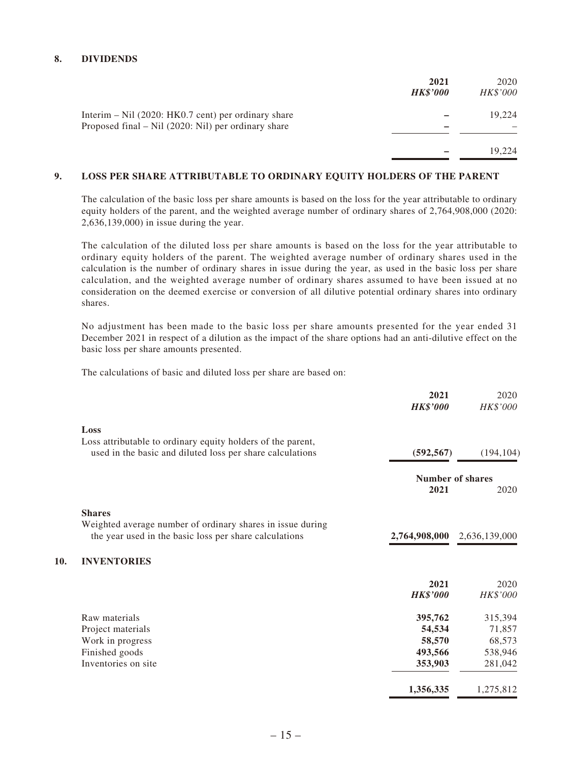#### **8. DIVIDENDS**

**10.** 

|                                                                                                                | 2021<br><b>HK\$'000</b> | 2020<br><b>HK\$'000</b> |
|----------------------------------------------------------------------------------------------------------------|-------------------------|-------------------------|
| Interim $-$ Nil (2020: HK0.7 cent) per ordinary share<br>Proposed final $-$ Nil (2020: Nil) per ordinary share |                         | 19.224                  |
|                                                                                                                |                         | 19.224                  |

#### **9. LOSS PER SHARE ATTRIBUTABLE TO ORDINARY EQUITY HOLDERS OF THE PARENT**

The calculation of the basic loss per share amounts is based on the loss for the year attributable to ordinary equity holders of the parent, and the weighted average number of ordinary shares of 2,764,908,000 (2020: 2,636,139,000) in issue during the year.

The calculation of the diluted loss per share amounts is based on the loss for the year attributable to ordinary equity holders of the parent. The weighted average number of ordinary shares used in the calculation is the number of ordinary shares in issue during the year, as used in the basic loss per share calculation, and the weighted average number of ordinary shares assumed to have been issued at no consideration on the deemed exercise or conversion of all dilutive potential ordinary shares into ordinary shares.

No adjustment has been made to the basic loss per share amounts presented for the year ended 31 December 2021 in respect of a dilution as the impact of the share options had an anti-dilutive effect on the basic loss per share amounts presented.

The calculations of basic and diluted loss per share are based on:

| 2021            | 2020<br>HK\$'000                                                |
|-----------------|-----------------------------------------------------------------|
|                 |                                                                 |
|                 |                                                                 |
|                 |                                                                 |
|                 | (194, 104)                                                      |
|                 | Number of shares                                                |
| 2021            | 2020                                                            |
|                 |                                                                 |
|                 |                                                                 |
| 2,764,908,000   | 2,636,139,000                                                   |
|                 |                                                                 |
|                 |                                                                 |
| 2021            | 2020                                                            |
| <b>HK\$'000</b> | HK\$'000                                                        |
|                 | 315,394                                                         |
|                 | 71,857                                                          |
| 58,570          | 68,573                                                          |
| 493,566         | 538,946                                                         |
| 353,903         | 281,042                                                         |
|                 | 1,275,812                                                       |
|                 | <b>HK\$'000</b><br>(592, 567)<br>395,762<br>54,534<br>1,356,335 |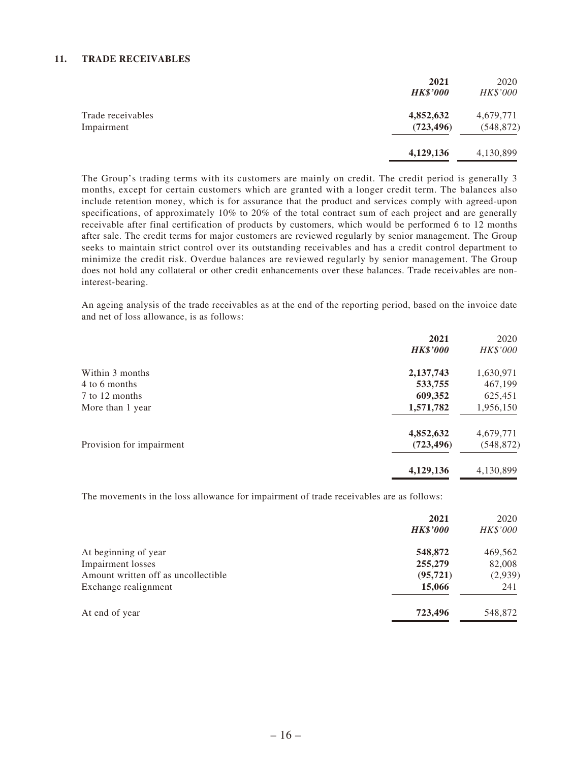#### **11. TRADE RECEIVABLES**

|                                 | 2021<br><b>HK\$'000</b> | 2020<br>HK\$'000        |
|---------------------------------|-------------------------|-------------------------|
| Trade receivables<br>Impairment | 4,852,632<br>(723, 496) | 4,679,771<br>(548, 872) |
|                                 | 4,129,136               | 4,130,899               |

The Group's trading terms with its customers are mainly on credit. The credit period is generally 3 months, except for certain customers which are granted with a longer credit term. The balances also include retention money, which is for assurance that the product and services comply with agreed-upon specifications, of approximately 10% to 20% of the total contract sum of each project and are generally receivable after final certification of products by customers, which would be performed 6 to 12 months after sale. The credit terms for major customers are reviewed regularly by senior management. The Group seeks to maintain strict control over its outstanding receivables and has a credit control department to minimize the credit risk. Overdue balances are reviewed regularly by senior management. The Group does not hold any collateral or other credit enhancements over these balances. Trade receivables are noninterest-bearing.

An ageing analysis of the trade receivables as at the end of the reporting period, based on the invoice date and net of loss allowance, is as follows:

|                          | 2021            | 2020       |
|--------------------------|-----------------|------------|
|                          | <b>HK\$'000</b> | HK\$'000   |
| Within 3 months          | 2,137,743       | 1,630,971  |
| 4 to 6 months            | 533,755         | 467,199    |
| 7 to 12 months           | 609,352         | 625,451    |
| More than 1 year         | 1,571,782       | 1,956,150  |
|                          | 4,852,632       | 4,679,771  |
| Provision for impairment | (723, 496)      | (548, 872) |
|                          | 4,129,136       | 4,130,899  |

The movements in the loss allowance for impairment of trade receivables are as follows:

|                                     | 2021<br><b>HK\$'000</b> | 2020<br>HK\$'000 |
|-------------------------------------|-------------------------|------------------|
| At beginning of year                | 548,872                 | 469,562          |
| <b>Impairment</b> losses            | 255,279                 | 82,008           |
| Amount written off as uncollectible | (95, 721)               | (2,939)          |
| Exchange realignment                | 15,066                  | 241              |
| At end of year                      | 723,496                 | 548,872          |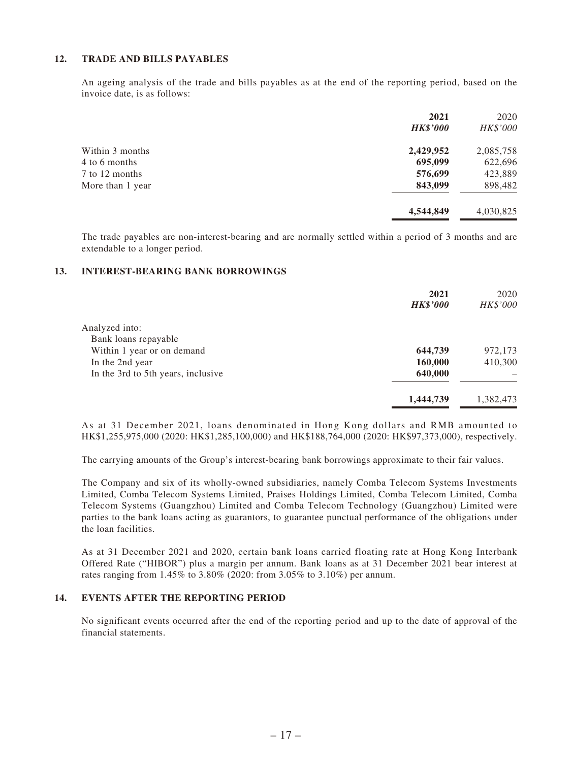#### **12. TRADE AND BILLS PAYABLES**

An ageing analysis of the trade and bills payables as at the end of the reporting period, based on the invoice date, is as follows:

|                  | 2021            | 2020      |
|------------------|-----------------|-----------|
|                  | <b>HK\$'000</b> | HK\$'000  |
| Within 3 months  | 2,429,952       | 2,085,758 |
| 4 to 6 months    | 695,099         | 622,696   |
| 7 to 12 months   | 576,699         | 423,889   |
| More than 1 year | 843,099         | 898,482   |
|                  | 4,544,849       | 4,030,825 |

The trade payables are non-interest-bearing and are normally settled within a period of 3 months and are extendable to a longer period.

#### **13. INTEREST-BEARING BANK BORROWINGS**

|                                    | 2021<br><b>HK\$'000</b> | 2020<br>HK\$'000 |
|------------------------------------|-------------------------|------------------|
| Analyzed into:                     |                         |                  |
| Bank loans repayable               |                         |                  |
| Within 1 year or on demand         | 644,739                 | 972,173          |
| In the 2nd year                    | 160,000                 | 410,300          |
| In the 3rd to 5th years, inclusive | 640,000                 |                  |
|                                    | 1,444,739               | 1,382,473        |

As at 31 December 2021, loans denominated in Hong Kong dollars and RMB amounted to HK\$1,255,975,000 (2020: HK\$1,285,100,000) and HK\$188,764,000 (2020: HK\$97,373,000), respectively.

The carrying amounts of the Group's interest-bearing bank borrowings approximate to their fair values.

The Company and six of its wholly-owned subsidiaries, namely Comba Telecom Systems Investments Limited, Comba Telecom Systems Limited, Praises Holdings Limited, Comba Telecom Limited, Comba Telecom Systems (Guangzhou) Limited and Comba Telecom Technology (Guangzhou) Limited were parties to the bank loans acting as guarantors, to guarantee punctual performance of the obligations under the loan facilities.

As at 31 December 2021 and 2020, certain bank loans carried floating rate at Hong Kong Interbank Offered Rate ("HIBOR") plus a margin per annum. Bank loans as at 31 December 2021 bear interest at rates ranging from 1.45% to 3.80% (2020: from 3.05% to 3.10%) per annum.

#### **14. EVENTS AFTER THE REPORTING PERIOD**

No significant events occurred after the end of the reporting period and up to the date of approval of the financial statements.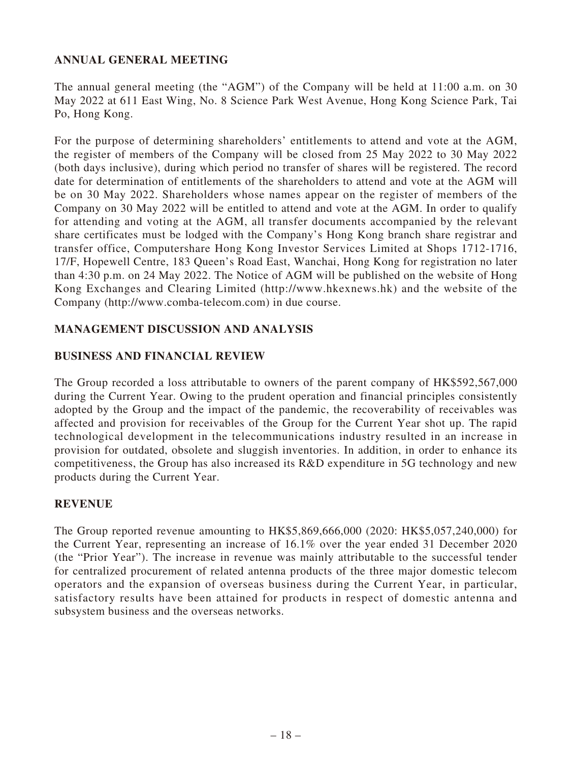### **ANNUAL GENERAL MEETING**

The annual general meeting (the "AGM") of the Company will be held at 11:00 a.m. on 30 May 2022 at 611 East Wing, No. 8 Science Park West Avenue, Hong Kong Science Park, Tai Po, Hong Kong.

For the purpose of determining shareholders' entitlements to attend and vote at the AGM, the register of members of the Company will be closed from 25 May 2022 to 30 May 2022 (both days inclusive), during which period no transfer of shares will be registered. The record date for determination of entitlements of the shareholders to attend and vote at the AGM will be on 30 May 2022. Shareholders whose names appear on the register of members of the Company on 30 May 2022 will be entitled to attend and vote at the AGM. In order to qualify for attending and voting at the AGM, all transfer documents accompanied by the relevant share certificates must be lodged with the Company's Hong Kong branch share registrar and transfer office, Computershare Hong Kong Investor Services Limited at Shops 1712-1716, 17/F, Hopewell Centre, 183 Queen's Road East, Wanchai, Hong Kong for registration no later than 4:30 p.m. on 24 May 2022. The Notice of AGM will be published on the website of Hong Kong Exchanges and Clearing Limited (http://www.hkexnews.hk) and the website of the Company (http://www.comba-telecom.com) in due course.

## **MANAGEMENT DISCUSSION AND ANALYSIS**

### **BUSINESS AND FINANCIAL REVIEW**

The Group recorded a loss attributable to owners of the parent company of HK\$592,567,000 during the Current Year. Owing to the prudent operation and financial principles consistently adopted by the Group and the impact of the pandemic, the recoverability of receivables was affected and provision for receivables of the Group for the Current Year shot up. The rapid technological development in the telecommunications industry resulted in an increase in provision for outdated, obsolete and sluggish inventories. In addition, in order to enhance its competitiveness, the Group has also increased its R&D expenditure in 5G technology and new products during the Current Year.

### **REVENUE**

The Group reported revenue amounting to HK\$5,869,666,000 (2020: HK\$5,057,240,000) for the Current Year, representing an increase of 16.1% over the year ended 31 December 2020 (the "Prior Year"). The increase in revenue was mainly attributable to the successful tender for centralized procurement of related antenna products of the three major domestic telecom operators and the expansion of overseas business during the Current Year, in particular, satisfactory results have been attained for products in respect of domestic antenna and subsystem business and the overseas networks.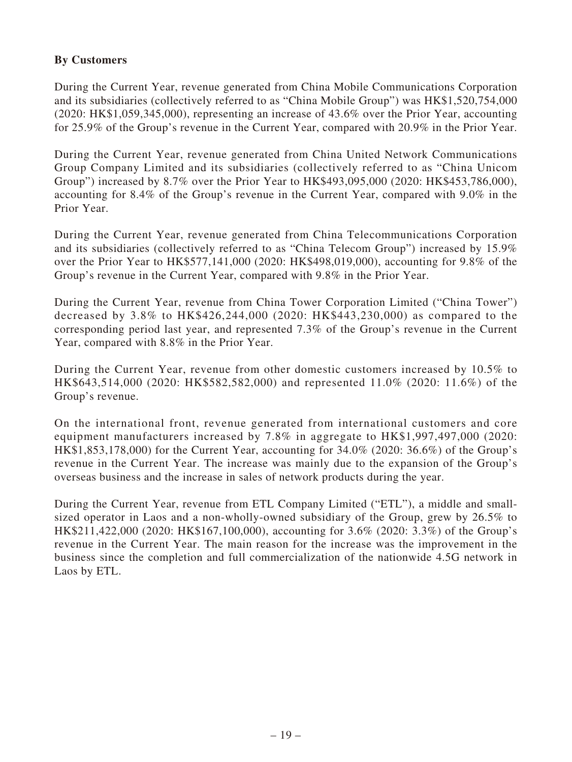### **By Customers**

During the Current Year, revenue generated from China Mobile Communications Corporation and its subsidiaries (collectively referred to as "China Mobile Group") was HK\$1,520,754,000 (2020: HK\$1,059,345,000), representing an increase of 43.6% over the Prior Year, accounting for 25.9% of the Group's revenue in the Current Year, compared with 20.9% in the Prior Year.

During the Current Year, revenue generated from China United Network Communications Group Company Limited and its subsidiaries (collectively referred to as "China Unicom Group") increased by 8.7% over the Prior Year to HK\$493,095,000 (2020: HK\$453,786,000), accounting for 8.4% of the Group's revenue in the Current Year, compared with 9.0% in the Prior Year.

During the Current Year, revenue generated from China Telecommunications Corporation and its subsidiaries (collectively referred to as "China Telecom Group") increased by 15.9% over the Prior Year to HK\$577,141,000 (2020: HK\$498,019,000), accounting for 9.8% of the Group's revenue in the Current Year, compared with 9.8% in the Prior Year.

During the Current Year, revenue from China Tower Corporation Limited ("China Tower") decreased by 3.8% to HK\$426,244,000 (2020: HK\$443,230,000) as compared to the corresponding period last year, and represented 7.3% of the Group's revenue in the Current Year, compared with 8.8% in the Prior Year.

During the Current Year, revenue from other domestic customers increased by 10.5% to HK\$643,514,000 (2020: HK\$582,582,000) and represented 11.0% (2020: 11.6%) of the Group's revenue.

On the international front, revenue generated from international customers and core equipment manufacturers increased by 7.8% in aggregate to HK\$1,997,497,000 (2020: HK\$1,853,178,000) for the Current Year, accounting for 34.0% (2020: 36.6%) of the Group's revenue in the Current Year. The increase was mainly due to the expansion of the Group's overseas business and the increase in sales of network products during the year.

During the Current Year, revenue from ETL Company Limited ("ETL"), a middle and smallsized operator in Laos and a non-wholly-owned subsidiary of the Group, grew by 26.5% to HK\$211,422,000 (2020: HK\$167,100,000), accounting for 3.6% (2020: 3.3%) of the Group's revenue in the Current Year. The main reason for the increase was the improvement in the business since the completion and full commercialization of the nationwide 4.5G network in Laos by ETL.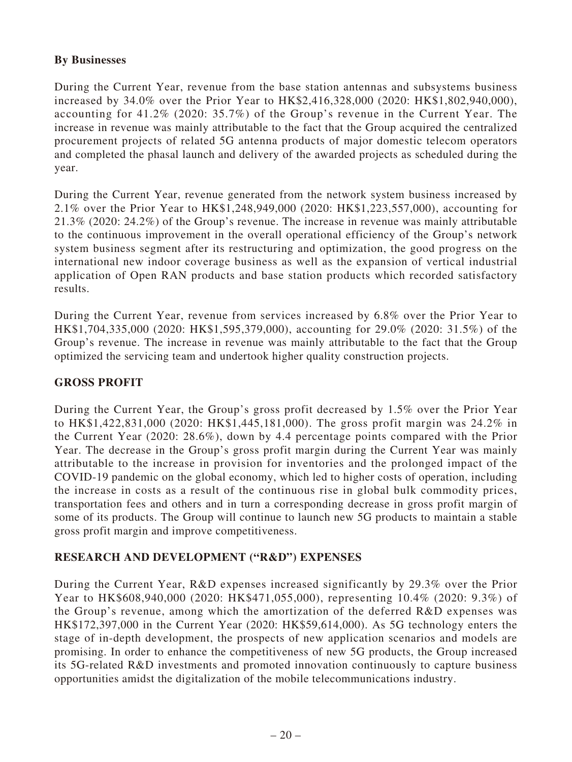### **By Businesses**

During the Current Year, revenue from the base station antennas and subsystems business increased by 34.0% over the Prior Year to HK\$2,416,328,000 (2020: HK\$1,802,940,000), accounting for 41.2% (2020: 35.7%) of the Group's revenue in the Current Year. The increase in revenue was mainly attributable to the fact that the Group acquired the centralized procurement projects of related 5G antenna products of major domestic telecom operators and completed the phasal launch and delivery of the awarded projects as scheduled during the year.

During the Current Year, revenue generated from the network system business increased by 2.1% over the Prior Year to HK\$1,248,949,000 (2020: HK\$1,223,557,000), accounting for 21.3% (2020: 24.2%) of the Group's revenue. The increase in revenue was mainly attributable to the continuous improvement in the overall operational efficiency of the Group's network system business segment after its restructuring and optimization, the good progress on the international new indoor coverage business as well as the expansion of vertical industrial application of Open RAN products and base station products which recorded satisfactory results.

During the Current Year, revenue from services increased by 6.8% over the Prior Year to HK\$1,704,335,000 (2020: HK\$1,595,379,000), accounting for 29.0% (2020: 31.5%) of the Group's revenue. The increase in revenue was mainly attributable to the fact that the Group optimized the servicing team and undertook higher quality construction projects.

# **GROSS PROFIT**

During the Current Year, the Group's gross profit decreased by 1.5% over the Prior Year to HK\$1,422,831,000 (2020: HK\$1,445,181,000). The gross profit margin was 24.2% in the Current Year (2020: 28.6%), down by 4.4 percentage points compared with the Prior Year. The decrease in the Group's gross profit margin during the Current Year was mainly attributable to the increase in provision for inventories and the prolonged impact of the COVID-19 pandemic on the global economy, which led to higher costs of operation, including the increase in costs as a result of the continuous rise in global bulk commodity prices, transportation fees and others and in turn a corresponding decrease in gross profit margin of some of its products. The Group will continue to launch new 5G products to maintain a stable gross profit margin and improve competitiveness.

### **RESEARCH AND DEVELOPMENT ("R&D") EXPENSES**

During the Current Year, R&D expenses increased significantly by 29.3% over the Prior Year to HK\$608,940,000 (2020: HK\$471,055,000), representing 10.4% (2020: 9.3%) of the Group's revenue, among which the amortization of the deferred R&D expenses was HK\$172,397,000 in the Current Year (2020: HK\$59,614,000). As 5G technology enters the stage of in-depth development, the prospects of new application scenarios and models are promising. In order to enhance the competitiveness of new 5G products, the Group increased its 5G-related R&D investments and promoted innovation continuously to capture business opportunities amidst the digitalization of the mobile telecommunications industry.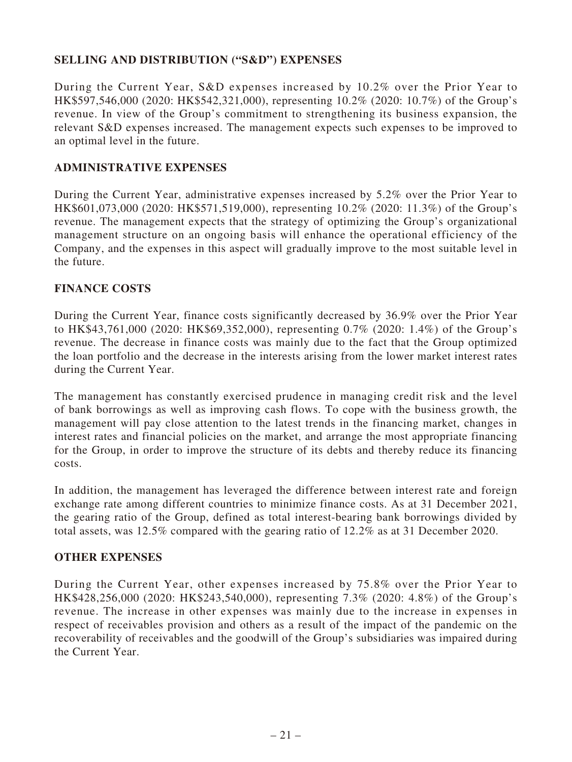# **SELLING AND DISTRIBUTION ("S&D") EXPENSES**

During the Current Year, S&D expenses increased by 10.2% over the Prior Year to HK\$597,546,000 (2020: HK\$542,321,000), representing 10.2% (2020: 10.7%) of the Group's revenue. In view of the Group's commitment to strengthening its business expansion, the relevant S&D expenses increased. The management expects such expenses to be improved to an optimal level in the future.

#### **ADMINISTRATIVE EXPENSES**

During the Current Year, administrative expenses increased by 5.2% over the Prior Year to HK\$601,073,000 (2020: HK\$571,519,000), representing 10.2% (2020: 11.3%) of the Group's revenue. The management expects that the strategy of optimizing the Group's organizational management structure on an ongoing basis will enhance the operational efficiency of the Company, and the expenses in this aspect will gradually improve to the most suitable level in the future.

#### **FINANCE COSTS**

During the Current Year, finance costs significantly decreased by 36.9% over the Prior Year to HK\$43,761,000 (2020: HK\$69,352,000), representing 0.7% (2020: 1.4%) of the Group's revenue. The decrease in finance costs was mainly due to the fact that the Group optimized the loan portfolio and the decrease in the interests arising from the lower market interest rates during the Current Year.

The management has constantly exercised prudence in managing credit risk and the level of bank borrowings as well as improving cash flows. To cope with the business growth, the management will pay close attention to the latest trends in the financing market, changes in interest rates and financial policies on the market, and arrange the most appropriate financing for the Group, in order to improve the structure of its debts and thereby reduce its financing costs.

In addition, the management has leveraged the difference between interest rate and foreign exchange rate among different countries to minimize finance costs. As at 31 December 2021, the gearing ratio of the Group, defined as total interest-bearing bank borrowings divided by total assets, was 12.5% compared with the gearing ratio of 12.2% as at 31 December 2020.

#### **OTHER EXPENSES**

During the Current Year, other expenses increased by 75.8% over the Prior Year to HK\$428,256,000 (2020: HK\$243,540,000), representing 7.3% (2020: 4.8%) of the Group's revenue. The increase in other expenses was mainly due to the increase in expenses in respect of receivables provision and others as a result of the impact of the pandemic on the recoverability of receivables and the goodwill of the Group's subsidiaries was impaired during the Current Year.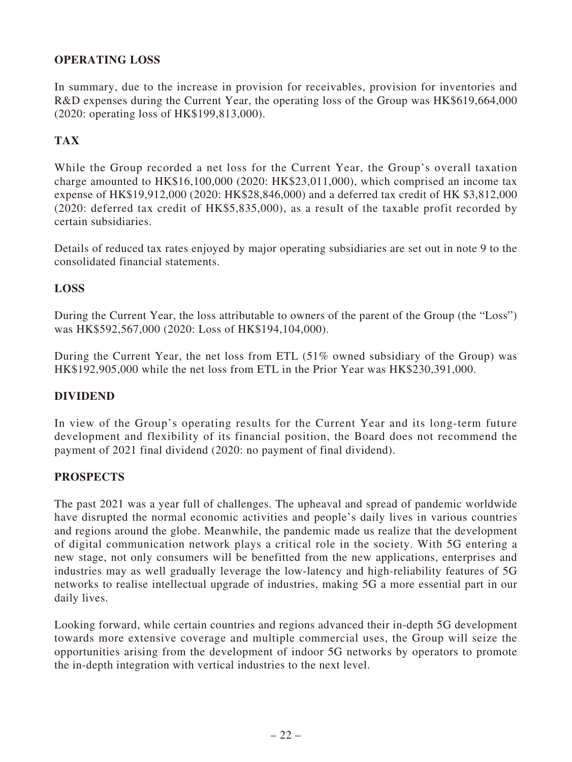# **OPERATING LOSS**

In summary, due to the increase in provision for receivables, provision for inventories and R&D expenses during the Current Year, the operating loss of the Group was HK\$619,664,000 (2020: operating loss of HK\$199,813,000).

# **TAX**

While the Group recorded a net loss for the Current Year, the Group's overall taxation charge amounted to HK\$16,100,000 (2020: HK\$23,011,000), which comprised an income tax expense of HK\$19,912,000 (2020: HK\$28,846,000) and a deferred tax credit of HK \$3,812,000 (2020: deferred tax credit of HK\$5,835,000), as a result of the taxable profit recorded by certain subsidiaries.

Details of reduced tax rates enjoyed by major operating subsidiaries are set out in note 9 to the consolidated financial statements.

### **LOSS**

During the Current Year, the loss attributable to owners of the parent of the Group (the "Loss") was HK\$592,567,000 (2020: Loss of HK\$194,104,000).

During the Current Year, the net loss from ETL (51% owned subsidiary of the Group) was HK\$192,905,000 while the net loss from ETL in the Prior Year was HK\$230,391,000.

### **DIVIDEND**

In view of the Group's operating results for the Current Year and its long-term future development and flexibility of its financial position, the Board does not recommend the payment of 2021 final dividend (2020: no payment of final dividend).

### **PROSPECTS**

The past 2021 was a year full of challenges. The upheaval and spread of pandemic worldwide have disrupted the normal economic activities and people's daily lives in various countries and regions around the globe. Meanwhile, the pandemic made us realize that the development of digital communication network plays a critical role in the society. With 5G entering a new stage, not only consumers will be benefitted from the new applications, enterprises and industries may as well gradually leverage the low-latency and high-reliability features of 5G networks to realise intellectual upgrade of industries, making 5G a more essential part in our daily lives.

Looking forward, while certain countries and regions advanced their in-depth 5G development towards more extensive coverage and multiple commercial uses, the Group will seize the opportunities arising from the development of indoor 5G networks by operators to promote the in-depth integration with vertical industries to the next level.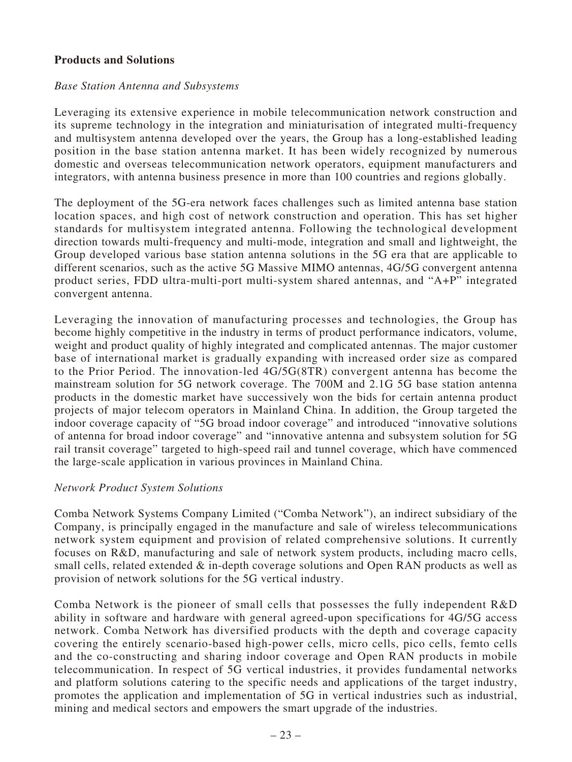#### **Products and Solutions**

#### *Base Station Antenna and Subsystems*

Leveraging its extensive experience in mobile telecommunication network construction and its supreme technology in the integration and miniaturisation of integrated multi-frequency and multisystem antenna developed over the years, the Group has a long-established leading position in the base station antenna market. It has been widely recognized by numerous domestic and overseas telecommunication network operators, equipment manufacturers and integrators, with antenna business presence in more than 100 countries and regions globally.

The deployment of the 5G-era network faces challenges such as limited antenna base station location spaces, and high cost of network construction and operation. This has set higher standards for multisystem integrated antenna. Following the technological development direction towards multi-frequency and multi-mode, integration and small and lightweight, the Group developed various base station antenna solutions in the 5G era that are applicable to different scenarios, such as the active 5G Massive MIMO antennas, 4G/5G convergent antenna product series, FDD ultra-multi-port multi-system shared antennas, and "A+P" integrated convergent antenna.

Leveraging the innovation of manufacturing processes and technologies, the Group has become highly competitive in the industry in terms of product performance indicators, volume, weight and product quality of highly integrated and complicated antennas. The major customer base of international market is gradually expanding with increased order size as compared to the Prior Period. The innovation-led 4G/5G(8TR) convergent antenna has become the mainstream solution for 5G network coverage. The 700M and 2.1G 5G base station antenna products in the domestic market have successively won the bids for certain antenna product projects of major telecom operators in Mainland China. In addition, the Group targeted the indoor coverage capacity of "5G broad indoor coverage" and introduced "innovative solutions of antenna for broad indoor coverage" and "innovative antenna and subsystem solution for 5G rail transit coverage" targeted to high-speed rail and tunnel coverage, which have commenced the large-scale application in various provinces in Mainland China.

#### *Network Product System Solutions*

Comba Network Systems Company Limited ("Comba Network"), an indirect subsidiary of the Company, is principally engaged in the manufacture and sale of wireless telecommunications network system equipment and provision of related comprehensive solutions. It currently focuses on R&D, manufacturing and sale of network system products, including macro cells, small cells, related extended & in-depth coverage solutions and Open RAN products as well as provision of network solutions for the 5G vertical industry.

Comba Network is the pioneer of small cells that possesses the fully independent R&D ability in software and hardware with general agreed-upon specifications for 4G/5G access network. Comba Network has diversified products with the depth and coverage capacity covering the entirely scenario-based high-power cells, micro cells, pico cells, femto cells and the co-constructing and sharing indoor coverage and Open RAN products in mobile telecommunication. In respect of 5G vertical industries, it provides fundamental networks and platform solutions catering to the specific needs and applications of the target industry, promotes the application and implementation of 5G in vertical industries such as industrial, mining and medical sectors and empowers the smart upgrade of the industries.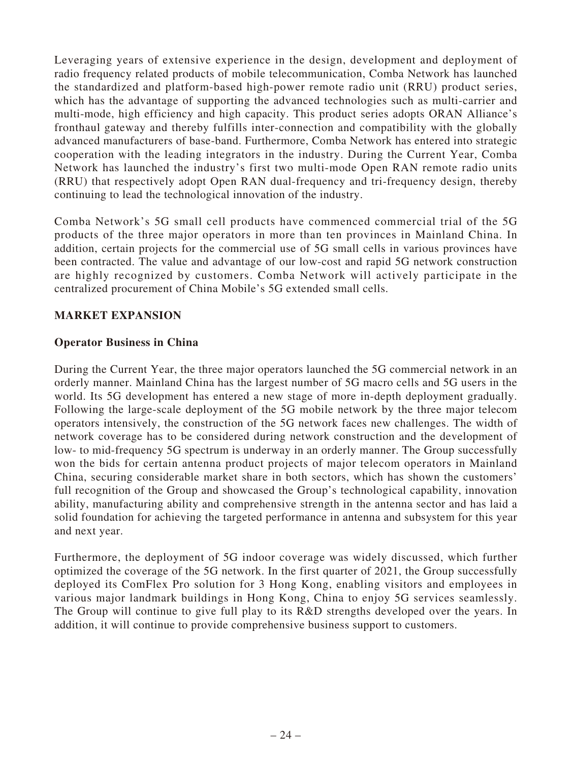Leveraging years of extensive experience in the design, development and deployment of radio frequency related products of mobile telecommunication, Comba Network has launched the standardized and platform-based high-power remote radio unit (RRU) product series, which has the advantage of supporting the advanced technologies such as multi-carrier and multi-mode, high efficiency and high capacity. This product series adopts ORAN Alliance's fronthaul gateway and thereby fulfills inter-connection and compatibility with the globally advanced manufacturers of base-band. Furthermore, Comba Network has entered into strategic cooperation with the leading integrators in the industry. During the Current Year, Comba Network has launched the industry's first two multi-mode Open RAN remote radio units (RRU) that respectively adopt Open RAN dual-frequency and tri-frequency design, thereby continuing to lead the technological innovation of the industry.

Comba Network's 5G small cell products have commenced commercial trial of the 5G products of the three major operators in more than ten provinces in Mainland China. In addition, certain projects for the commercial use of 5G small cells in various provinces have been contracted. The value and advantage of our low-cost and rapid 5G network construction are highly recognized by customers. Comba Network will actively participate in the centralized procurement of China Mobile's 5G extended small cells.

## **MARKET EXPANSION**

### **Operator Business in China**

During the Current Year, the three major operators launched the 5G commercial network in an orderly manner. Mainland China has the largest number of 5G macro cells and 5G users in the world. Its 5G development has entered a new stage of more in-depth deployment gradually. Following the large-scale deployment of the 5G mobile network by the three major telecom operators intensively, the construction of the 5G network faces new challenges. The width of network coverage has to be considered during network construction and the development of low- to mid-frequency 5G spectrum is underway in an orderly manner. The Group successfully won the bids for certain antenna product projects of major telecom operators in Mainland China, securing considerable market share in both sectors, which has shown the customers' full recognition of the Group and showcased the Group's technological capability, innovation ability, manufacturing ability and comprehensive strength in the antenna sector and has laid a solid foundation for achieving the targeted performance in antenna and subsystem for this year and next year.

Furthermore, the deployment of 5G indoor coverage was widely discussed, which further optimized the coverage of the 5G network. In the first quarter of 2021, the Group successfully deployed its ComFlex Pro solution for 3 Hong Kong, enabling visitors and employees in various major landmark buildings in Hong Kong, China to enjoy 5G services seamlessly. The Group will continue to give full play to its R&D strengths developed over the years. In addition, it will continue to provide comprehensive business support to customers.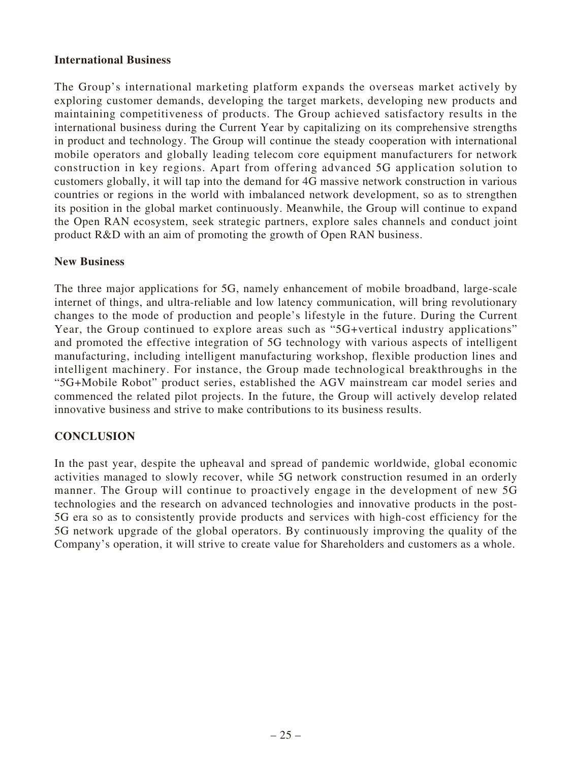### **International Business**

The Group's international marketing platform expands the overseas market actively by exploring customer demands, developing the target markets, developing new products and maintaining competitiveness of products. The Group achieved satisfactory results in the international business during the Current Year by capitalizing on its comprehensive strengths in product and technology. The Group will continue the steady cooperation with international mobile operators and globally leading telecom core equipment manufacturers for network construction in key regions. Apart from offering advanced 5G application solution to customers globally, it will tap into the demand for 4G massive network construction in various countries or regions in the world with imbalanced network development, so as to strengthen its position in the global market continuously. Meanwhile, the Group will continue to expand the Open RAN ecosystem, seek strategic partners, explore sales channels and conduct joint product R&D with an aim of promoting the growth of Open RAN business.

#### **New Business**

The three major applications for 5G, namely enhancement of mobile broadband, large-scale internet of things, and ultra-reliable and low latency communication, will bring revolutionary changes to the mode of production and people's lifestyle in the future. During the Current Year, the Group continued to explore areas such as "5G+vertical industry applications" and promoted the effective integration of 5G technology with various aspects of intelligent manufacturing, including intelligent manufacturing workshop, flexible production lines and intelligent machinery. For instance, the Group made technological breakthroughs in the "5G+Mobile Robot" product series, established the AGV mainstream car model series and commenced the related pilot projects. In the future, the Group will actively develop related innovative business and strive to make contributions to its business results.

### **CONCLUSION**

In the past year, despite the upheaval and spread of pandemic worldwide, global economic activities managed to slowly recover, while 5G network construction resumed in an orderly manner. The Group will continue to proactively engage in the development of new 5G technologies and the research on advanced technologies and innovative products in the post-5G era so as to consistently provide products and services with high-cost efficiency for the 5G network upgrade of the global operators. By continuously improving the quality of the Company's operation, it will strive to create value for Shareholders and customers as a whole.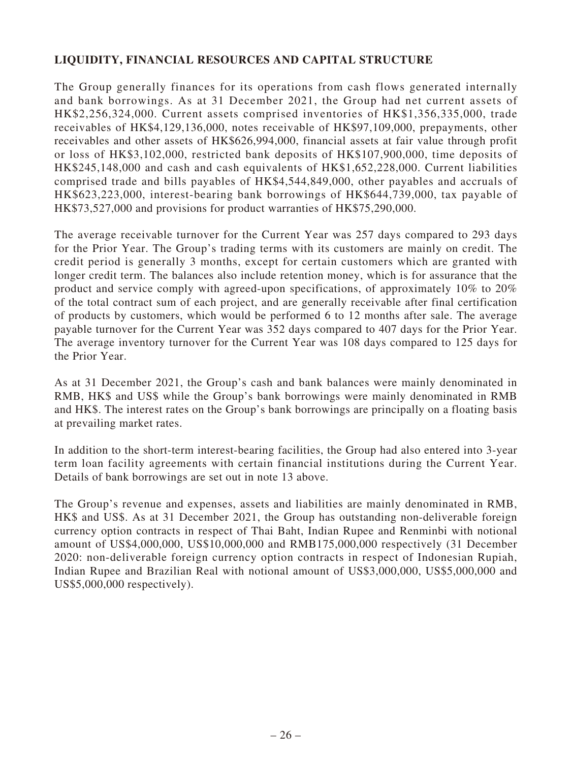# **LIQUIDITY, FINANCIAL RESOURCES AND CAPITAL STRUCTURE**

The Group generally finances for its operations from cash flows generated internally and bank borrowings. As at 31 December 2021, the Group had net current assets of HK\$2,256,324,000. Current assets comprised inventories of HK\$1,356,335,000, trade receivables of HK\$4,129,136,000, notes receivable of HK\$97,109,000, prepayments, other receivables and other assets of HK\$626,994,000, financial assets at fair value through profit or loss of HK\$3,102,000, restricted bank deposits of HK\$107,900,000, time deposits of HK\$245,148,000 and cash and cash equivalents of HK\$1,652,228,000. Current liabilities comprised trade and bills payables of HK\$4,544,849,000, other payables and accruals of HK\$623,223,000, interest-bearing bank borrowings of HK\$644,739,000, tax payable of HK\$73,527,000 and provisions for product warranties of HK\$75,290,000.

The average receivable turnover for the Current Year was 257 days compared to 293 days for the Prior Year. The Group's trading terms with its customers are mainly on credit. The credit period is generally 3 months, except for certain customers which are granted with longer credit term. The balances also include retention money, which is for assurance that the product and service comply with agreed-upon specifications, of approximately 10% to 20% of the total contract sum of each project, and are generally receivable after final certification of products by customers, which would be performed 6 to 12 months after sale. The average payable turnover for the Current Year was 352 days compared to 407 days for the Prior Year. The average inventory turnover for the Current Year was 108 days compared to 125 days for the Prior Year.

As at 31 December 2021, the Group's cash and bank balances were mainly denominated in RMB, HK\$ and US\$ while the Group's bank borrowings were mainly denominated in RMB and HK\$. The interest rates on the Group's bank borrowings are principally on a floating basis at prevailing market rates.

In addition to the short-term interest-bearing facilities, the Group had also entered into 3-year term loan facility agreements with certain financial institutions during the Current Year. Details of bank borrowings are set out in note 13 above.

The Group's revenue and expenses, assets and liabilities are mainly denominated in RMB, HK\$ and US\$. As at 31 December 2021, the Group has outstanding non-deliverable foreign currency option contracts in respect of Thai Baht, Indian Rupee and Renminbi with notional amount of US\$4,000,000, US\$10,000,000 and RMB175,000,000 respectively (31 December 2020: non-deliverable foreign currency option contracts in respect of Indonesian Rupiah, Indian Rupee and Brazilian Real with notional amount of US\$3,000,000, US\$5,000,000 and US\$5,000,000 respectively).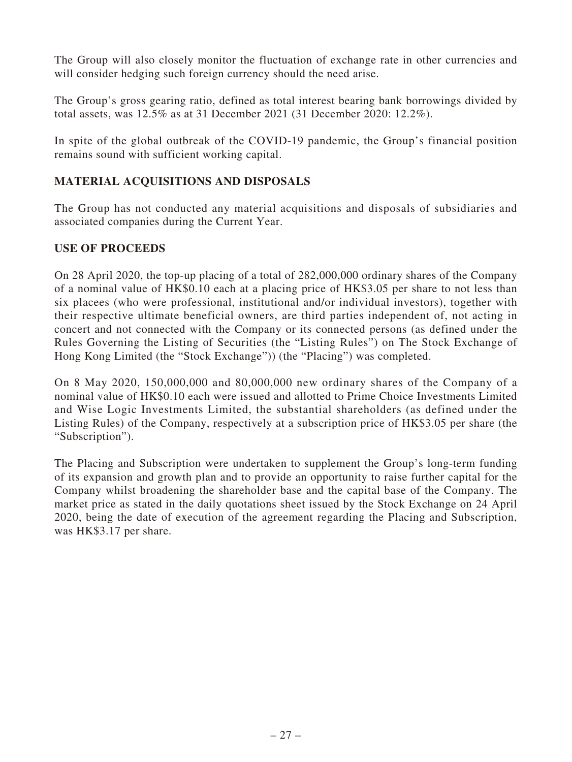The Group will also closely monitor the fluctuation of exchange rate in other currencies and will consider hedging such foreign currency should the need arise.

The Group's gross gearing ratio, defined as total interest bearing bank borrowings divided by total assets, was 12.5% as at 31 December 2021 (31 December 2020: 12.2%).

In spite of the global outbreak of the COVID-19 pandemic, the Group's financial position remains sound with sufficient working capital.

# **MATERIAL ACQUISITIONS AND DISPOSALS**

The Group has not conducted any material acquisitions and disposals of subsidiaries and associated companies during the Current Year.

### **USE OF PROCEEDS**

On 28 April 2020, the top-up placing of a total of 282,000,000 ordinary shares of the Company of a nominal value of HK\$0.10 each at a placing price of HK\$3.05 per share to not less than six placees (who were professional, institutional and/or individual investors), together with their respective ultimate beneficial owners, are third parties independent of, not acting in concert and not connected with the Company or its connected persons (as defined under the Rules Governing the Listing of Securities (the "Listing Rules") on The Stock Exchange of Hong Kong Limited (the "Stock Exchange")) (the "Placing") was completed.

On 8 May 2020, 150,000,000 and 80,000,000 new ordinary shares of the Company of a nominal value of HK\$0.10 each were issued and allotted to Prime Choice Investments Limited and Wise Logic Investments Limited, the substantial shareholders (as defined under the Listing Rules) of the Company, respectively at a subscription price of HK\$3.05 per share (the "Subscription").

The Placing and Subscription were undertaken to supplement the Group's long-term funding of its expansion and growth plan and to provide an opportunity to raise further capital for the Company whilst broadening the shareholder base and the capital base of the Company. The market price as stated in the daily quotations sheet issued by the Stock Exchange on 24 April 2020, being the date of execution of the agreement regarding the Placing and Subscription, was HK\$3.17 per share.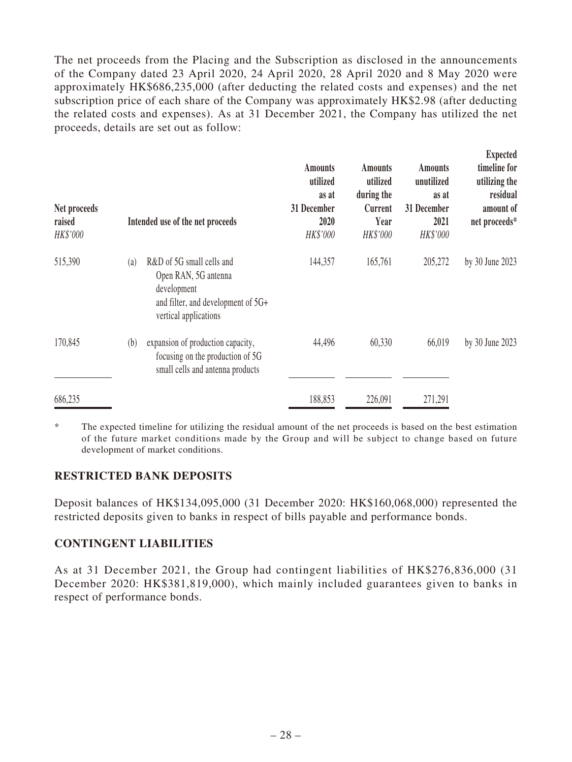The net proceeds from the Placing and the Subscription as disclosed in the announcements of the Company dated 23 April 2020, 24 April 2020, 28 April 2020 and 8 May 2020 were approximately HK\$686,235,000 (after deducting the related costs and expenses) and the net subscription price of each share of the Company was approximately HK\$2.98 (after deducting the related costs and expenses). As at 31 December 2021, the Company has utilized the net proceeds, details are set out as follow:

| Net proceeds<br>raised<br>HK\$'000 |     | Intended use of the net proceeds                                                                                                | <b>Amounts</b><br>utilized<br>as at<br>31 December<br>2020<br>HK\$'000 | <b>Amounts</b><br>utilized<br>during the<br>Current<br>Year<br>HK\$'000 | <b>Amounts</b><br>unutilized<br>as at<br>31 December<br>2021<br>HK\$'000 | Expected<br>timeline for<br>utilizing the<br>residual<br>amount of<br>net proceeds* |
|------------------------------------|-----|---------------------------------------------------------------------------------------------------------------------------------|------------------------------------------------------------------------|-------------------------------------------------------------------------|--------------------------------------------------------------------------|-------------------------------------------------------------------------------------|
| 515,390                            | (a) | R&D of 5G small cells and<br>Open RAN, 5G antenna<br>development<br>and filter, and development of 5G+<br>vertical applications | 144,357                                                                | 165,761                                                                 | 205,272                                                                  | by 30 June 2023                                                                     |
| 170,845                            | (b) | expansion of production capacity,<br>focusing on the production of 5G<br>small cells and antenna products                       | 44,496                                                                 | 60,330                                                                  | 66,019                                                                   | by 30 June 2023                                                                     |
| 686,235                            |     |                                                                                                                                 | 188,853                                                                | 226,091                                                                 | 271,291                                                                  |                                                                                     |

\* The expected timeline for utilizing the residual amount of the net proceeds is based on the best estimation of the future market conditions made by the Group and will be subject to change based on future development of market conditions.

### **RESTRICTED BANK DEPOSITS**

Deposit balances of HK\$134,095,000 (31 December 2020: HK\$160,068,000) represented the restricted deposits given to banks in respect of bills payable and performance bonds.

### **CONTINGENT LIABILITIES**

As at 31 December 2021, the Group had contingent liabilities of HK\$276,836,000 (31 December 2020: HK\$381,819,000), which mainly included guarantees given to banks in respect of performance bonds.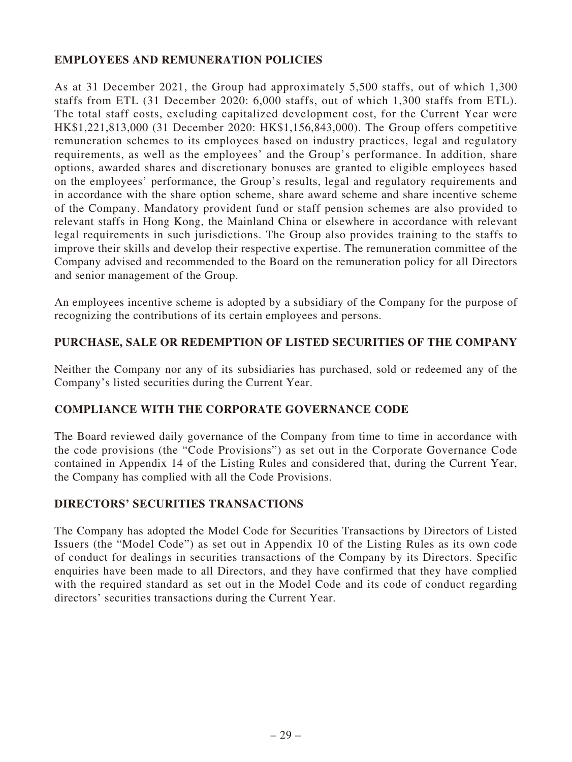## **EMPLOYEES AND REMUNERATION POLICIES**

As at 31 December 2021, the Group had approximately 5,500 staffs, out of which 1,300 staffs from ETL (31 December 2020: 6,000 staffs, out of which 1,300 staffs from ETL). The total staff costs, excluding capitalized development cost, for the Current Year were HK\$1,221,813,000 (31 December 2020: HK\$1,156,843,000). The Group offers competitive remuneration schemes to its employees based on industry practices, legal and regulatory requirements, as well as the employees' and the Group's performance. In addition, share options, awarded shares and discretionary bonuses are granted to eligible employees based on the employees' performance, the Group's results, legal and regulatory requirements and in accordance with the share option scheme, share award scheme and share incentive scheme of the Company. Mandatory provident fund or staff pension schemes are also provided to relevant staffs in Hong Kong, the Mainland China or elsewhere in accordance with relevant legal requirements in such jurisdictions. The Group also provides training to the staffs to improve their skills and develop their respective expertise. The remuneration committee of the Company advised and recommended to the Board on the remuneration policy for all Directors and senior management of the Group.

An employees incentive scheme is adopted by a subsidiary of the Company for the purpose of recognizing the contributions of its certain employees and persons.

### **PURCHASE, SALE OR REDEMPTION OF LISTED SECURITIES OF THE COMPANY**

Neither the Company nor any of its subsidiaries has purchased, sold or redeemed any of the Company's listed securities during the Current Year.

### **COMPLIANCE WITH THE CORPORATE GOVERNANCE CODE**

The Board reviewed daily governance of the Company from time to time in accordance with the code provisions (the "Code Provisions") as set out in the Corporate Governance Code contained in Appendix 14 of the Listing Rules and considered that, during the Current Year, the Company has complied with all the Code Provisions.

### **DIRECTORS' SECURITIES TRANSACTIONS**

The Company has adopted the Model Code for Securities Transactions by Directors of Listed Issuers (the "Model Code") as set out in Appendix 10 of the Listing Rules as its own code of conduct for dealings in securities transactions of the Company by its Directors. Specific enquiries have been made to all Directors, and they have confirmed that they have complied with the required standard as set out in the Model Code and its code of conduct regarding directors' securities transactions during the Current Year.